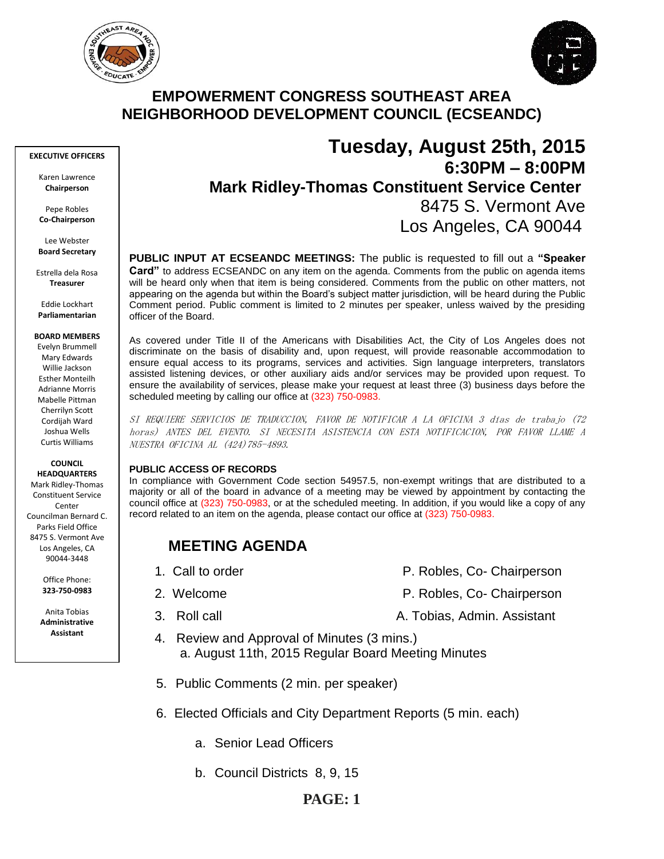



## **EMPOWERMENT CONGRESS SOUTHEAST AREA NEIGHBORHOOD DEVELOPMENT COUNCIL (ECSEANDC)**

#### **EXECUTIVE OFFICERS**

Karen Lawrence **Chairperson**

Pepe Robles **Co-Chairperson**

Lee Webster **Board Secretary**

Estrella dela Rosa **Treasurer**

Eddie Lockhart **Parliamentarian**

#### **BOARD MEMBERS**

Evelyn Brummell Mary Edwards Willie Jackson Esther Monteilh Adrianne Morris Mabelle Pittman Cherrilyn Scott Cordijah Ward Joshua Wells Curtis Williams

#### **COUNCIL HEADQUARTERS**

Mark Ridley-Thomas Constituent Service Conter Councilman Bernard C. Parks Field Office 8475 S. Vermont Ave Los Angeles, CA 90044-3448

> Office Phone: **323-750-0983**

Anita Tobias **Administrative Assistant**

# **Tuesday, August 25th, 2015 6:30PM – 8:00PM Mark Ridley-Thomas Constituent Service Center** 8475 S. Vermont Ave Los Angeles, CA 90044

**PUBLIC INPUT AT ECSEANDC MEETINGS:** The public is requested to fill out a **"Speaker Card"** to address ECSEANDC on any item on the agenda. Comments from the public on agenda items will be heard only when that item is being considered. Comments from the public on other matters, not appearing on the agenda but within the Board's subject matter jurisdiction, will be heard during the Public Comment period. Public comment is limited to 2 minutes per speaker, unless waived by the presiding officer of the Board.

As covered under Title II of the Americans with Disabilities Act, the City of Los Angeles does not discriminate on the basis of disability and, upon request, will provide reasonable accommodation to ensure equal access to its programs, services and activities. Sign language interpreters, translators assisted listening devices, or other auxiliary aids and/or services may be provided upon request. To ensure the availability of services, please make your request at least three (3) business days before the scheduled meeting by calling our office at (323) 750-0983.

SI REQUIERE SERVICIOS DE TRADUCCION, FAVOR DE NOTIFICAR A LA OFICINA 3 días de trabajo (72 horas) ANTES DEL EVENTO. SI NECESITA ASISTENCIA CON ESTA NOTIFICACION, POR FAVOR LLAME A NUESTRA OFICINA AL (424)785-4893.

#### **PUBLIC ACCESS OF RECORDS**

In compliance with Government Code section 54957.5, non-exempt writings that are distributed to a majority or all of the board in advance of a meeting may be viewed by appointment by contacting the council office at (323) 750-0983, or at the scheduled meeting. In addition, if you would like a copy of any record related to an item on the agenda, please contact our office at (323) 750-0983.

# **MEETING AGENDA**

- 
- 
- 
- 1. Call to order **P. Robles, Co- Chairperson**
- 2. Welcome **P. Robles, Co- Chairperson**
- 3. Roll call A. Tobias, Admin. Assistant
	- 4. Review and Approval of Minutes (3 mins.) a. August 11th, 2015 Regular Board Meeting Minutes
	- 5. Public Comments (2 min. per speaker)
	- 6. Elected Officials and City Department Reports (5 min. each)
		- a. Senior Lead Officers
		- b. Council Districts 8, 9, 15

## **PAGE: 1**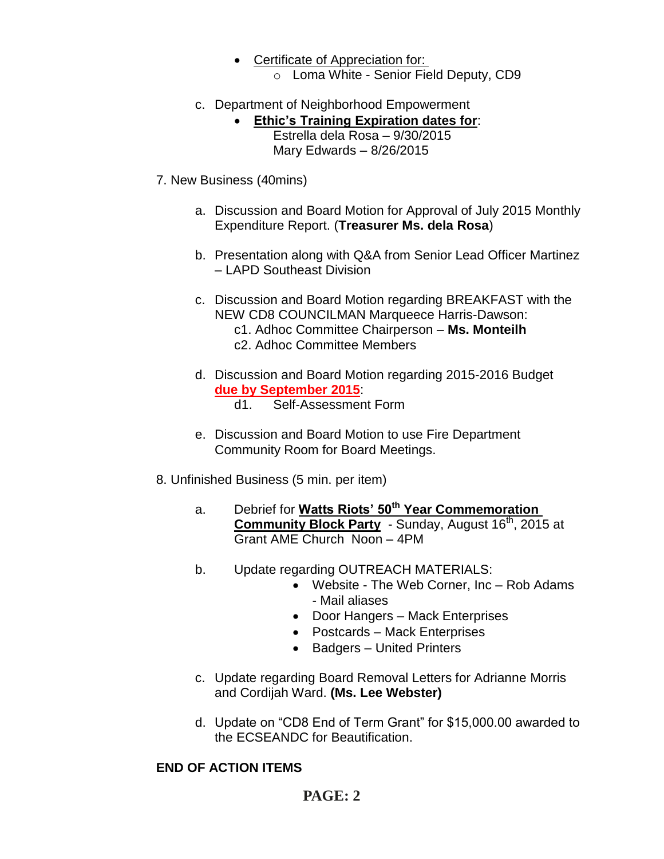- Certificate of Appreciation for:
	- o Loma White Senior Field Deputy, CD9
- c. Department of Neighborhood Empowerment
	- **Ethic's Training Expiration dates for**: Estrella dela Rosa – 9/30/2015 Mary Edwards – 8/26/2015
- 7. New Business (40mins)
	- a. Discussion and Board Motion for Approval of July 2015 Monthly Expenditure Report. (**Treasurer Ms. dela Rosa**)
	- b. Presentation along with Q&A from Senior Lead Officer Martinez – LAPD Southeast Division
	- c. Discussion and Board Motion regarding BREAKFAST with the NEW CD8 COUNCILMAN Marqueece Harris-Dawson: c1. Adhoc Committee Chairperson – **Ms. Monteilh** c2. Adhoc Committee Members
	- d. Discussion and Board Motion regarding 2015-2016 Budget **due by September 2015**: d1. Self-Assessment Form
	- e. Discussion and Board Motion to use Fire Department Community Room for Board Meetings.
- 8. Unfinished Business (5 min. per item)
	- a. Debrief for **Watts Riots' 50th Year Commemoration Community Block Party** - Sunday, August 16<sup>th</sup>, 2015 at Grant AME Church Noon – 4PM
	- b. Update regarding OUTREACH MATERIALS:
		- Website The Web Corner, Inc Rob Adams - Mail aliases
		- Door Hangers Mack Enterprises
		- Postcards Mack Enterprises
		- Badgers United Printers
	- c. Update regarding Board Removal Letters for Adrianne Morris and Cordijah Ward. **(Ms. Lee Webster)**
	- d. Update on "CD8 End of Term Grant" for \$15,000.00 awarded to the ECSEANDC for Beautification.

## **END OF ACTION ITEMS**

# **PAGE: 2**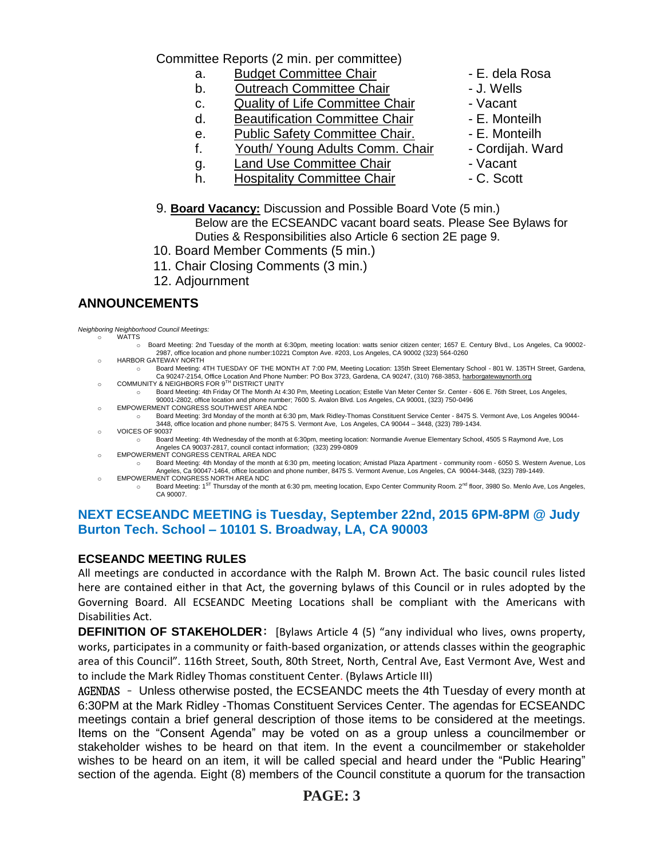Committee Reports (2 min. per committee)

- a. Budget Committee Chair  **E. dela Rosa**
- b. Outreach Committee Chair **Day 1. Wells**
- c. Quality of Life Committee Chair Vacant
- d. Beautification Committee Chair Fame E. Monteilh
- e. Public Safety Committee Chair. F. Monteilh
- f. Youth/ Young Adults Comm. Chair Cordijah. Ward
- g. Land Use Committee Chair Land Accant
- h. Hospitality Committee Chair  **C.** Scott
- 
- 
- 
- 
- 
- 
- -
- 9. **Board Vacancy:** Discussion and Possible Board Vote (5 min.)

Below are the ECSEANDC vacant board seats. Please See Bylaws for Duties & Responsibilities also Article 6 section 2E page 9.

- 10. Board Member Comments (5 min.)
- 11. Chair Closing Comments (3 min.)
- 12. Adjournment

### **ANNOUNCEMENTS**

*Neighboring Neighborhood Council Meetings:* **WATTS** 

- o Board Meeting: 2nd Tuesday of the month at 6:30pm, meeting location: watts senior citizen center; 1657 E. Century Blvd., Los Angeles, Ca 90002- 2987, office location and phone number:10221 Compton Ave. #203, Los Angeles, CA 90002 (323) 564-0260
- o HARBOR GATEWAY NORTH o Board Meeting: 4TH TUESDAY OF THE MONTH AT 7:00 PM, Meeting Location: 135th Street Elementary School - 801 W. 135TH Street, Gardena,
- Ca 90247-2154, Office Location And Phone Number: PO Box 3723, Gardena, CA 90247, (310) 768-3853, <u>harborgatewaynorth.org</u><br>COMMUNITY & NEIGHBORS FOR 9<sup>TH</sup> DISTRICT UNITY o Board Meeting: 4th Friday Of The Month At 4:30 Pm, Meeting Location; Estelle Van Meter Center Sr. Center - 606 E. 76th Street, Los Angeles, 90001-2802, office location and phone number; 7600 S. Avalon Blvd. Los Angeles, CA 90001, (323) 750-0496
- o EMPOWERMENT CONGRESS SOUTHWEST AREA NDC
	- o Board Meeting: 3rd Monday of the month at 6:30 pm, Mark Ridley-Thomas Constituent Service Center 8475 S. Vermont Ave, Los Angeles 90044- 3448, office location and phone number; 8475 S. Vermont Ave, Los Angeles, CA 90044 – 3448, (323) 789-1434.
- o VOICES OF 90037
	- o Board Meeting: 4th Wednesday of the month at 6:30pm, meeting location: Normandie Avenue Elementary School, 4505 S Raymond Ave, Los Angeles CA 90037-2817, council contact information; (323) 299-0809
- o EMPOWERMENT CONGRESS CENTRAL AREA NDC
	- o Board Meeting: 4th Monday of the month at 6:30 pm, meeting location; Amistad Plaza Apartment community room 6050 S. Western Avenue, Los Angeles, Ca 90047-1464, office location and phone number, 8475 S. Vermont Avenue, Los Angeles, CA 90044-3448, (323) 789-1449.
- o EMPOWERMENT CONGRESS NORTH AREA NDC o Board Meeting: 1<sup>ST</sup> Thursday of the month at 6:30 pm, meeting location, Expo Center Community Room. 2<sup>nd</sup> floor, 3980 So. Menlo Ave, Los Angeles, CA 90007.

### **NEXT ECSEANDC MEETING is Tuesday, September 22nd, 2015 6PM-8PM @ Judy Burton Tech. School – 10101 S. Broadway, LA, CA 90003**

### **ECSEANDC MEETING RULES**

All meetings are conducted in accordance with the Ralph M. Brown Act. The basic council rules listed here are contained either in that Act, the governing bylaws of this Council or in rules adopted by the Governing Board. All ECSEANDC Meeting Locations shall be compliant with the Americans with Disabilities Act.

**DEFINITION OF STAKEHOLDER:** [Bylaws Article 4 (5) "any individual who lives, owns property, works, participates in a community or faith-based organization, or attends classes within the geographic area of this Council". 116th Street, South, 80th Street, North, Central Ave, East Vermont Ave, West and to include the Mark Ridley Thomas constituent Center. (Bylaws Article III)

AGENDAS – Unless otherwise posted, the ECSEANDC meets the 4th Tuesday of every month at 6:30PM at the Mark Ridley -Thomas Constituent Services Center. The agendas for ECSEANDC meetings contain a brief general description of those items to be considered at the meetings. Items on the "Consent Agenda" may be voted on as a group unless a councilmember or stakeholder wishes to be heard on that item. In the event a councilmember or stakeholder wishes to be heard on an item, it will be called special and heard under the "Public Hearing" section of the agenda. Eight (8) members of the Council constitute a quorum for the transaction